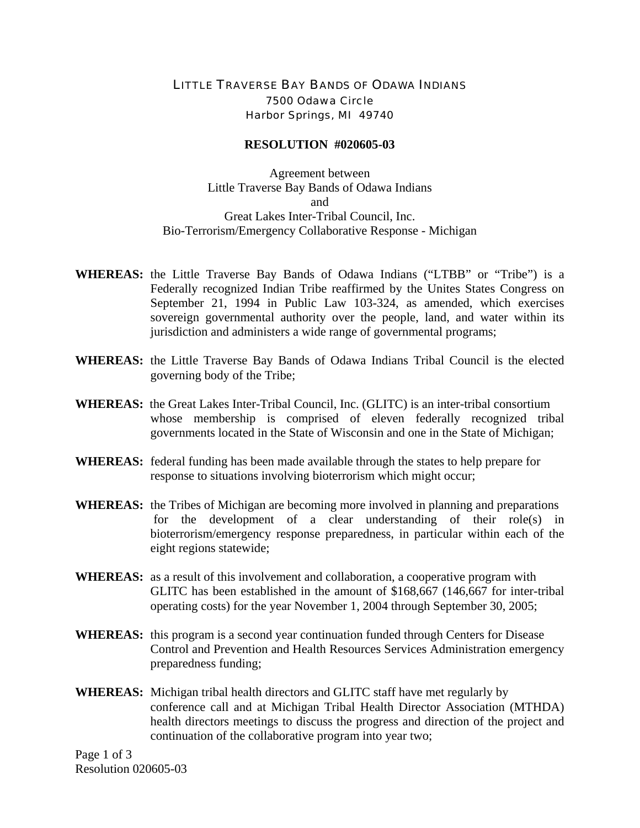## LITTLE TRAVERSE BAY BANDS OF ODAWA INDIANS 7500 Odawa Circle Harbor Springs, MI 49740

## **RESOLUTION #020605-03**

Agreement between Little Traverse Bay Bands of Odawa Indians and Great Lakes Inter-Tribal Council, Inc. Bio-Terrorism/Emergency Collaborative Response - Michigan

- **WHEREAS:** the Little Traverse Bay Bands of Odawa Indians ("LTBB" or "Tribe") is a Federally recognized Indian Tribe reaffirmed by the Unites States Congress on September 21, 1994 in Public Law 103-324, as amended, which exercises sovereign governmental authority over the people, land, and water within its jurisdiction and administers a wide range of governmental programs;
- **WHEREAS:** the Little Traverse Bay Bands of Odawa Indians Tribal Council is the elected governing body of the Tribe;
- **WHEREAS:** the Great Lakes Inter-Tribal Council, Inc. (GLITC) is an inter-tribal consortium whose membership is comprised of eleven federally recognized tribal governments located in the State of Wisconsin and one in the State of Michigan;
- **WHEREAS:** federal funding has been made available through the states to help prepare for response to situations involving bioterrorism which might occur;
- **WHEREAS:** the Tribes of Michigan are becoming more involved in planning and preparations for the development of a clear understanding of their role(s) in bioterrorism/emergency response preparedness, in particular within each of the eight regions statewide;
- **WHEREAS:** as a result of this involvement and collaboration, a cooperative program with GLITC has been established in the amount of \$168,667 (146,667 for inter-tribal operating costs) for the year November 1, 2004 through September 30, 2005;
- **WHEREAS:** this program is a second year continuation funded through Centers for Disease Control and Prevention and Health Resources Services Administration emergency preparedness funding;
- **WHEREAS:** Michigan tribal health directors and GLITC staff have met regularly by conference call and at Michigan Tribal Health Director Association (MTHDA) health directors meetings to discuss the progress and direction of the project and continuation of the collaborative program into year two;

Page 1 of 3 Resolution 020605-03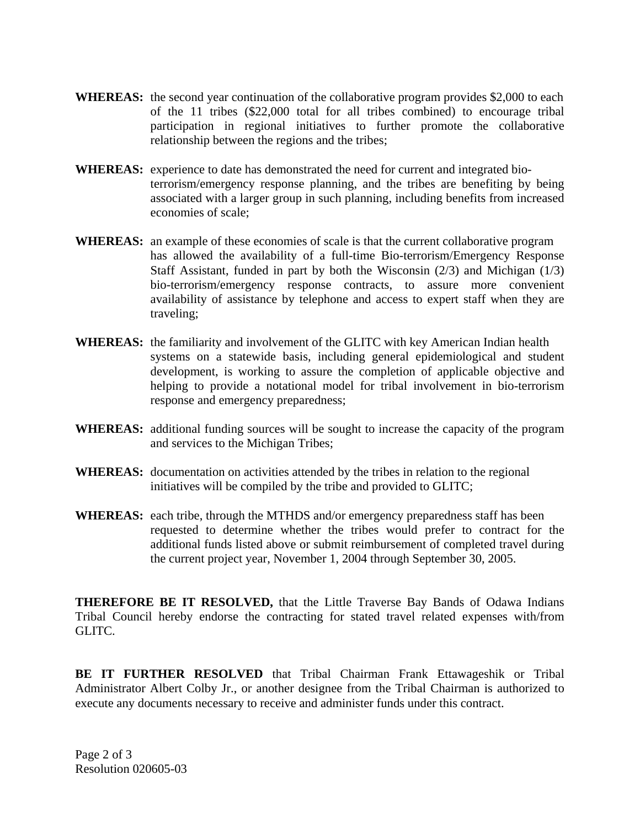- **WHEREAS:** the second year continuation of the collaborative program provides \$2,000 to each of the 11 tribes (\$22,000 total for all tribes combined) to encourage tribal participation in regional initiatives to further promote the collaborative relationship between the regions and the tribes;
- **WHEREAS:** experience to date has demonstrated the need for current and integrated bioterrorism/emergency response planning, and the tribes are benefiting by being associated with a larger group in such planning, including benefits from increased economies of scale;
- **WHEREAS:** an example of these economies of scale is that the current collaborative program has allowed the availability of a full-time Bio-terrorism/Emergency Response Staff Assistant, funded in part by both the Wisconsin (2/3) and Michigan (1/3) bio-terrorism/emergency response contracts, to assure more convenient availability of assistance by telephone and access to expert staff when they are traveling;
- **WHEREAS:** the familiarity and involvement of the GLITC with key American Indian health systems on a statewide basis, including general epidemiological and student development, is working to assure the completion of applicable objective and helping to provide a notational model for tribal involvement in bio-terrorism response and emergency preparedness;
- **WHEREAS:** additional funding sources will be sought to increase the capacity of the program and services to the Michigan Tribes;
- **WHEREAS:** documentation on activities attended by the tribes in relation to the regional initiatives will be compiled by the tribe and provided to GLITC;
- **WHEREAS:** each tribe, through the MTHDS and/or emergency preparedness staff has been requested to determine whether the tribes would prefer to contract for the additional funds listed above or submit reimbursement of completed travel during the current project year, November 1, 2004 through September 30, 2005.

**THEREFORE BE IT RESOLVED,** that the Little Traverse Bay Bands of Odawa Indians Tribal Council hereby endorse the contracting for stated travel related expenses with/from GLITC.

**BE IT FURTHER RESOLVED** that Tribal Chairman Frank Ettawageshik or Tribal Administrator Albert Colby Jr., or another designee from the Tribal Chairman is authorized to execute any documents necessary to receive and administer funds under this contract.